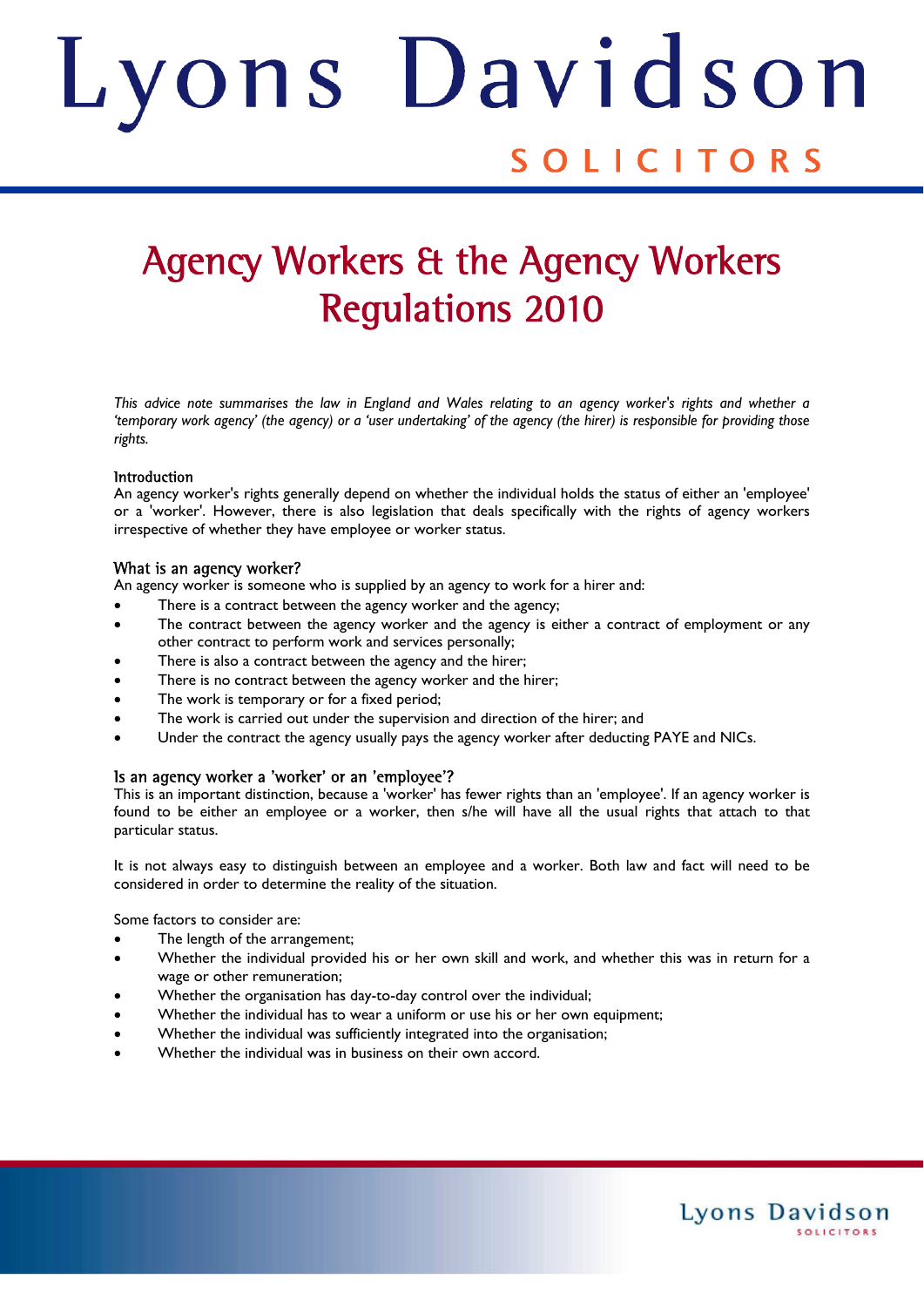# ons Davids Judith SOLICITORS

## Agency Workers & the Agency Workers Regulations 2010

*This advice note summarises the law in England and Wales relating to an agency worker's rights and whether a 'temporary work agency' (the agency) or a 'user undertaking' of the agency (the hirer) is responsible for providing those rights.* 

#### Introduction

An agency worker's rights generally depend on whether the individual holds the status of either an 'employee' or a 'worker'. However, there is also legislation that deals specifically with the rights of agency workers irrespective of whether they have employee or worker status.

#### What is an agency worker?

An agency worker is someone who is supplied by an agency to work for a hirer and:

- There is a contract between the agency worker and the agency;
- The contract between the agency worker and the agency is either a contract of employment or any other contract to perform work and services personally;
- There is also a contract between the agency and the hirer;
- There is no contract between the agency worker and the hirer;
- The work is temporary or for a fixed period;
- The work is carried out under the supervision and direction of the hirer; and
- Under the contract the agency usually pays the agency worker after deducting PAYE and NICs.

#### Is an agency worker a 'worker' or an 'employee'?

This is an important distinction, because a 'worker' has fewer rights than an 'employee'. If an agency worker is found to be either an employee or a worker, then s/he will have all the usual rights that attach to that particular status.

It is not always easy to distinguish between an employee and a worker. Both law and fact will need to be considered in order to determine the reality of the situation.

Some factors to consider are:

- The length of the arrangement;
- Whether the individual provided his or her own skill and work, and whether this was in return for a wage or other remuneration;
- Whether the organisation has day-to-day control over the individual;
- Whether the individual has to wear a uniform or use his or her own equipment;
- Whether the individual was sufficiently integrated into the organisation;
- Whether the individual was in business on their own accord.

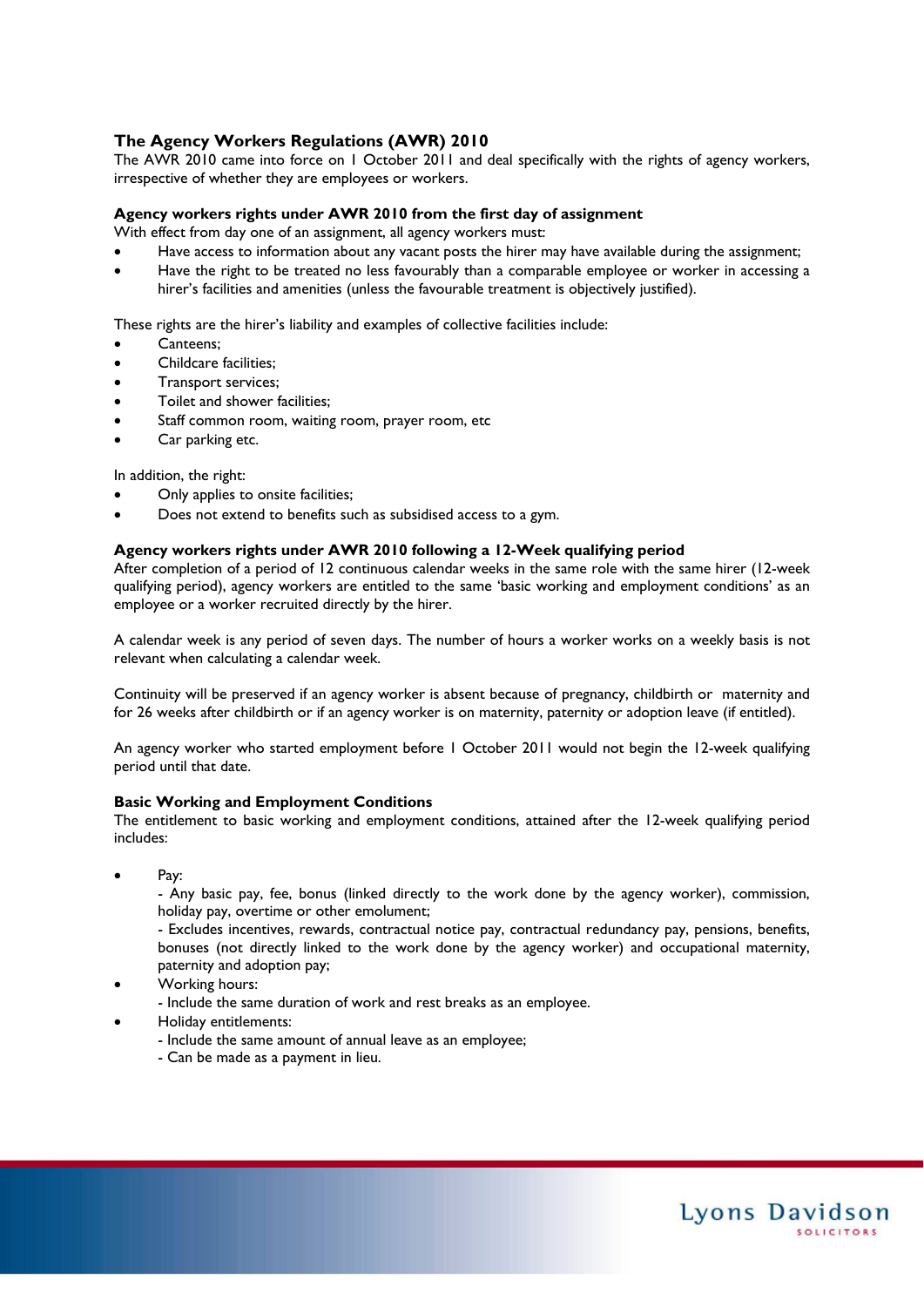#### **The Agency Workers Regulations (AWR) 2010**

The AWR 2010 came into force on 1 October 2011 and deal specifically with the rights of agency workers, irrespective of whether they are employees or workers.

#### **Agency workers rights under AWR 2010 from the first day of assignment**

With effect from day one of an assignment, all agency workers must:

- Have access to information about any vacant posts the hirer may have available during the assignment;
- Have the right to be treated no less favourably than a comparable employee or worker in accessing a hirer's facilities and amenities (unless the favourable treatment is objectively justified).

These rights are the hirer's liability and examples of collective facilities include:

- Canteens;
- Childcare facilities;
- Transport services;
- Toilet and shower facilities;
- Staff common room, waiting room, prayer room, etc
- Car parking etc.

In addition, the right:

- Only applies to onsite facilities;
- Does not extend to benefits such as subsidised access to a gym.

#### **Agency workers rights under AWR 2010 following a 12-Week qualifying period**

After completion of a period of 12 continuous calendar weeks in the same role with the same hirer (12-week qualifying period), agency workers are entitled to the same 'basic working and employment conditions' as an employee or a worker recruited directly by the hirer.

A calendar week is any period of seven days. The number of hours a worker works on a weekly basis is not relevant when calculating a calendar week.

Continuity will be preserved if an agency worker is absent because of pregnancy, childbirth or maternity and for 26 weeks after childbirth or if an agency worker is on maternity, paternity or adoption leave (if entitled).

An agency worker who started employment before 1 October 2011 would not begin the 12-week qualifying period until that date.

#### **Basic Working and Employment Conditions**

The entitlement to basic working and employment conditions, attained after the 12-week qualifying period includes:

Pay:

 - Any basic pay, fee, bonus (linked directly to the work done by the agency worker), commission, holiday pay, overtime or other emolument;

 - Excludes incentives, rewards, contractual notice pay, contractual redundancy pay, pensions, benefits, bonuses (not directly linked to the work done by the agency worker) and occupational maternity, paternity and adoption pay;

Working hours:

- Include the same duration of work and rest breaks as an employee.

- Holiday entitlements:
	- Include the same amount of annual leave as an employee;
	- Can be made as a payment in lieu.

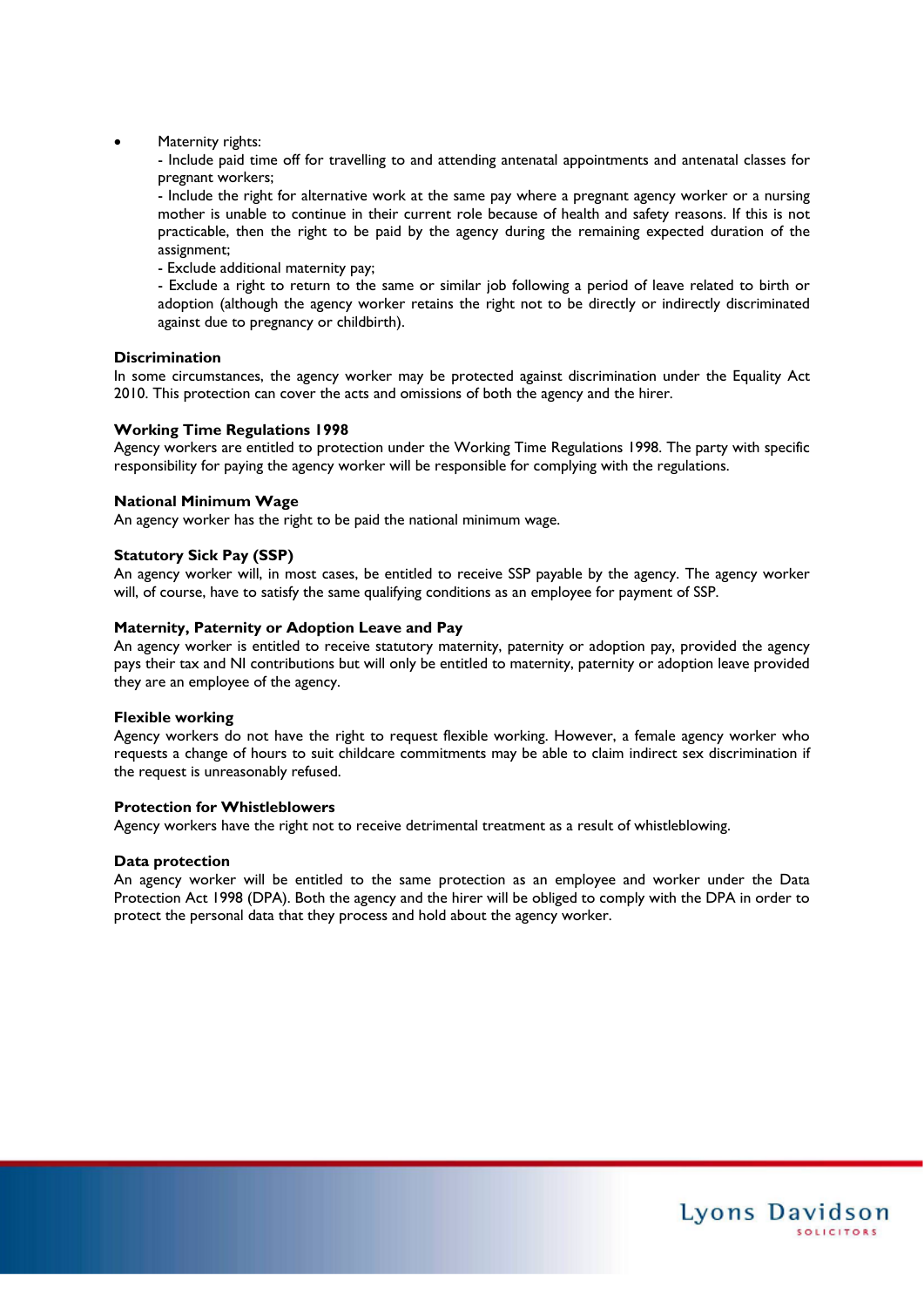Maternity rights:

 - Include paid time off for travelling to and attending antenatal appointments and antenatal classes for pregnant workers;

 - Include the right for alternative work at the same pay where a pregnant agency worker or a nursing mother is unable to continue in their current role because of health and safety reasons. If this is not practicable, then the right to be paid by the agency during the remaining expected duration of the assignment;

- Exclude additional maternity pay;

 - Exclude a right to return to the same or similar job following a period of leave related to birth or adoption (although the agency worker retains the right not to be directly or indirectly discriminated against due to pregnancy or childbirth).

#### **Discrimination**

In some circumstances, the agency worker may be protected against discrimination under the Equality Act 2010. This protection can cover the acts and omissions of both the agency and the hirer.

#### **Working Time Regulations 1998**

Agency workers are entitled to protection under the Working Time Regulations 1998. The party with specific responsibility for paying the agency worker will be responsible for complying with the regulations.

#### **National Minimum Wage**

An agency worker has the right to be paid the national minimum wage.

#### **Statutory Sick Pay (SSP)**

An agency worker will, in most cases, be entitled to receive SSP payable by the agency. The agency worker will, of course, have to satisfy the same qualifying conditions as an employee for payment of SSP.

#### **Maternity, Paternity or Adoption Leave and Pay**

An agency worker is entitled to receive statutory maternity, paternity or adoption pay, provided the agency pays their tax and NI contributions but will only be entitled to maternity, paternity or adoption leave provided they are an employee of the agency.

#### **Flexible working**

Agency workers do not have the right to request flexible working. However, a female agency worker who requests a change of hours to suit childcare commitments may be able to claim indirect sex discrimination if the request is unreasonably refused.

#### **Protection for Whistleblowers**

Agency workers have the right not to receive detrimental treatment as a result of whistleblowing.

#### **Data protection**

An agency worker will be entitled to the same protection as an employee and worker under the Data Protection Act 1998 (DPA). Both the agency and the hirer will be obliged to comply with the DPA in order to protect the personal data that they process and hold about the agency worker.